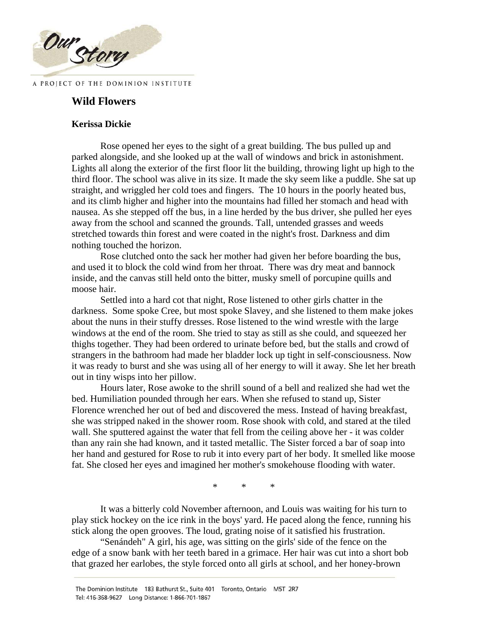

# **Wild Flowers**

# **Kerissa Dickie**

Rose opened her eyes to the sight of a great building. The bus pulled up and parked alongside, and she looked up at the wall of windows and brick in astonishment. Lights all along the exterior of the first floor lit the building, throwing light up high to the third floor. The school was alive in its size. It made the sky seem like a puddle. She sat up straight, and wriggled her cold toes and fingers. The 10 hours in the poorly heated bus, and its climb higher and higher into the mountains had filled her stomach and head with nausea. As she stepped off the bus, in a line herded by the bus driver, she pulled her eyes away from the school and scanned the grounds. Tall, untended grasses and weeds stretched towards thin forest and were coated in the night's frost. Darkness and dim nothing touched the horizon.

Rose clutched onto the sack her mother had given her before boarding the bus, and used it to block the cold wind from her throat. There was dry meat and bannock inside, and the canvas still held onto the bitter, musky smell of porcupine quills and moose hair.

Settled into a hard cot that night, Rose listened to other girls chatter in the darkness. Some spoke Cree, but most spoke Slavey, and she listened to them make jokes about the nuns in their stuffy dresses. Rose listened to the wind wrestle with the large windows at the end of the room. She tried to stay as still as she could, and squeezed her thighs together. They had been ordered to urinate before bed, but the stalls and crowd of strangers in the bathroom had made her bladder lock up tight in self-consciousness. Now it was ready to burst and she was using all of her energy to will it away. She let her breath out in tiny wisps into her pillow.

Hours later, Rose awoke to the shrill sound of a bell and realized she had wet the bed. Humiliation pounded through her ears. When she refused to stand up, Sister Florence wrenched her out of bed and discovered the mess. Instead of having breakfast, she was stripped naked in the shower room. Rose shook with cold, and stared at the tiled wall. She sputtered against the water that fell from the ceiling above her - it was colder than any rain she had known, and it tasted metallic. The Sister forced a bar of soap into her hand and gestured for Rose to rub it into every part of her body. It smelled like moose fat. She closed her eyes and imagined her mother's smokehouse flooding with water.

\* \* \*

It was a bitterly cold November afternoon, and Louis was waiting for his turn to play stick hockey on the ice rink in the boys' yard. He paced along the fence, running his stick along the open grooves. The loud, grating noise of it satisfied his frustration.

"Senándeh" A girl, his age, was sitting on the girls' side of the fence on the edge of a snow bank with her teeth bared in a grimace. Her hair was cut into a short bob that grazed her earlobes, the style forced onto all girls at school, and her honey-brown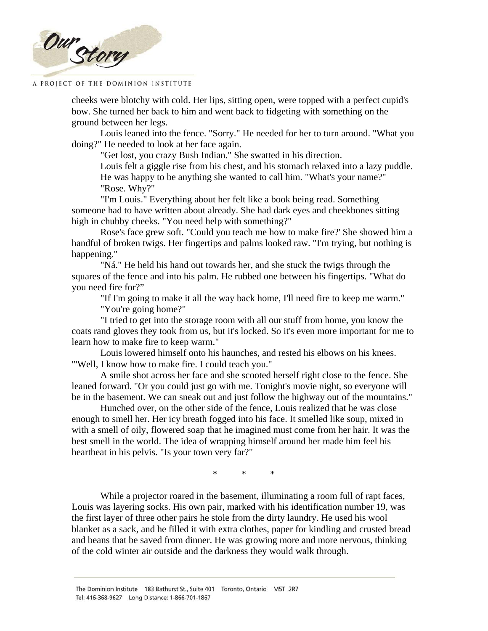

cheeks were blotchy with cold. Her lips, sitting open, were topped with a perfect cupid's bow. She turned her back to him and went back to fidgeting with something on the ground between her legs.

Louis leaned into the fence. "Sorry." He needed for her to turn around. "What you doing?" He needed to look at her face again.

"Get lost, you crazy Bush Indian." She swatted in his direction.

Louis felt a giggle rise from his chest, and his stomach relaxed into a lazy puddle. He was happy to be anything she wanted to call him. "What's your name?" "Rose. Why?"

"I'm Louis." Everything about her felt like a book being read. Something someone had to have written about already. She had dark eyes and cheekbones sitting high in chubby cheeks. "You need help with something?"

Rose's face grew soft. "Could you teach me how to make fire?' She showed him a handful of broken twigs. Her fingertips and palms looked raw. "I'm trying, but nothing is happening.''

"Ná." He held his hand out towards her, and she stuck the twigs through the squares of the fence and into his palm. He rubbed one between his fingertips. "What do you need fire for?"

"If I'm going to make it all the way back home, I'll need fire to keep me warm." "You're going home?"

"I tried to get into the storage room with all our stuff from home, you know the coats rand gloves they took from us, but it's locked. So it's even more important for me to learn how to make fire to keep warm."

Louis lowered himself onto his haunches, and rested his elbows on his knees. "'Well, I know how to make fire. I could teach you."

A smile shot across her face and she scooted herself right close to the fence. She leaned forward. "Or you could just go with me. Tonight's movie night, so everyone will be in the basement. We can sneak out and just follow the highway out of the mountains."

Hunched over, on the other side of the fence, Louis realized that he was close enough to smell her. Her icy breath fogged into his face. It smelled like soup, mixed in with a smell of oily, flowered soap that he imagined must come from her hair. It was the best smell in the world. The idea of wrapping himself around her made him feel his heartbeat in his pelvis. "Is your town very far?"

\* \* \*

While a projector roared in the basement, illuminating a room full of rapt faces, Louis was layering socks. His own pair, marked with his identification number 19, was the first layer of three other pairs he stole from the dirty laundry. He used his wool blanket as a sack, and he filled it with extra clothes, paper for kindling and crusted bread and beans that be saved from dinner. He was growing more and more nervous, thinking of the cold winter air outside and the darkness they would walk through.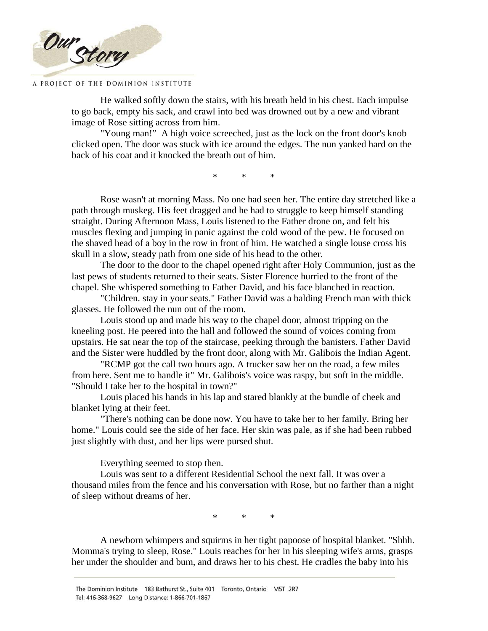

He walked softly down the stairs, with his breath held in his chest. Each impulse to go back, empty his sack, and crawl into bed was drowned out by a new and vibrant image of Rose sitting across from him.

"Young man!" A high voice screeched, just as the lock on the front door's knob clicked open. The door was stuck with ice around the edges. The nun yanked hard on the back of his coat and it knocked the breath out of him.

\* \* \*

Rose wasn't at morning Mass. No one had seen her. The entire day stretched like a path through muskeg. His feet dragged and he had to struggle to keep himself standing straight. During Afternoon Mass, Louis listened to the Father drone on, and felt his muscles flexing and jumping in panic against the cold wood of the pew. He focused on the shaved head of a boy in the row in front of him. He watched a single louse cross his skull in a slow, steady path from one side of his head to the other.

The door to the door to the chapel opened right after Holy Communion, just as the last pews of students returned to their seats. Sister Florence hurried to the front of the chapel. She whispered something to Father David, and his face blanched in reaction.

"Children. stay in your seats." Father David was a balding French man with thick glasses. He followed the nun out of the room.

Louis stood up and made his way to the chapel door, almost tripping on the kneeling post. He peered into the hall and followed the sound of voices coming from upstairs. He sat near the top of the staircase, peeking through the banisters. Father David and the Sister were huddled by the front door, along with Mr. Galibois the Indian Agent.

"RCMP got the call two hours ago. A trucker saw her on the road, a few miles from here. Sent me to handle it" Mr. Galibois's voice was raspy, but soft in the middle. "Should I take her to the hospital in town?"

Louis placed his hands in his lap and stared blankly at the bundle of cheek and blanket lying at their feet.

"There's nothing can be done now. You have to take her to her family. Bring her home." Louis could see the side of her face. Her skin was pale, as if she had been rubbed just slightly with dust, and her lips were pursed shut.

Everything seemed to stop then.

Louis was sent to a different Residential School the next fall. It was over a thousand miles from the fence and his conversation with Rose, but no farther than a night of sleep without dreams of her.

\* \* \*

A newborn whimpers and squirms in her tight papoose of hospital blanket. "Shhh. Momma's trying to sleep, Rose." Louis reaches for her in his sleeping wife's arms, grasps her under the shoulder and bum, and draws her to his chest. He cradles the baby into his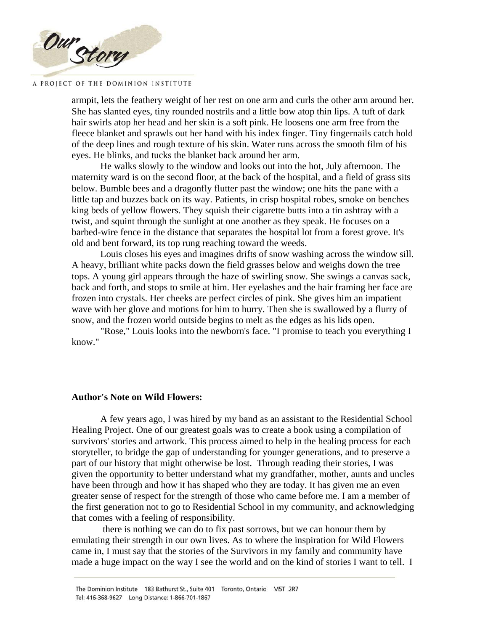

armpit, lets the feathery weight of her rest on one arm and curls the other arm around her. She has slanted eyes, tiny rounded nostrils and a little bow atop thin lips. A tuft of dark hair swirls atop her head and her skin is a soft pink. He loosens one arm free from the fleece blanket and sprawls out her hand with his index finger. Tiny fingernails catch hold of the deep lines and rough texture of his skin. Water runs across the smooth film of his eyes. He blinks, and tucks the blanket back around her arm.

He walks slowly to the window and looks out into the hot, July afternoon. The maternity ward is on the second floor, at the back of the hospital, and a field of grass sits below. Bumble bees and a dragonfly flutter past the window; one hits the pane with a little tap and buzzes back on its way. Patients, in crisp hospital robes, smoke on benches king beds of yellow flowers. They squish their cigarette butts into a tin ashtray with a twist, and squint through the sunlight at one another as they speak. He focuses on a barbed-wire fence in the distance that separates the hospital lot from a forest grove. It's old and bent forward, its top rung reaching toward the weeds.

Louis closes his eyes and imagines drifts of snow washing across the window sill. A heavy, brilliant white packs down the field grasses below and weighs down the tree tops. A young girl appears through the haze of swirling snow. She swings a canvas sack, back and forth, and stops to smile at him. Her eyelashes and the hair framing her face are frozen into crystals. Her cheeks are perfect circles of pink. She gives him an impatient wave with her glove and motions for him to hurry. Then she is swallowed by a flurry of snow, and the frozen world outside begins to melt as the edges as his lids open.

"Rose," Louis looks into the newborn's face. "I promise to teach you everything I know."

## **Author's Note on Wild Flowers:**

A few years ago, I was hired by my band as an assistant to the Residential School Healing Project. One of our greatest goals was to create a book using a compilation of survivors' stories and artwork. This process aimed to help in the healing process for each storyteller, to bridge the gap of understanding for younger generations, and to preserve a part of our history that might otherwise be lost. Through reading their stories, I was given the opportunity to better understand what my grandfather, mother, aunts and uncles have been through and how it has shaped who they are today. It has given me an even greater sense of respect for the strength of those who came before me. I am a member of the first generation not to go to Residential School in my community, and acknowledging that comes with a feeling of responsibility.

 there is nothing we can do to fix past sorrows, but we can honour them by emulating their strength in our own lives. As to where the inspiration for Wild Flowers came in, I must say that the stories of the Survivors in my family and community have made a huge impact on the way I see the world and on the kind of stories I want to tell. I